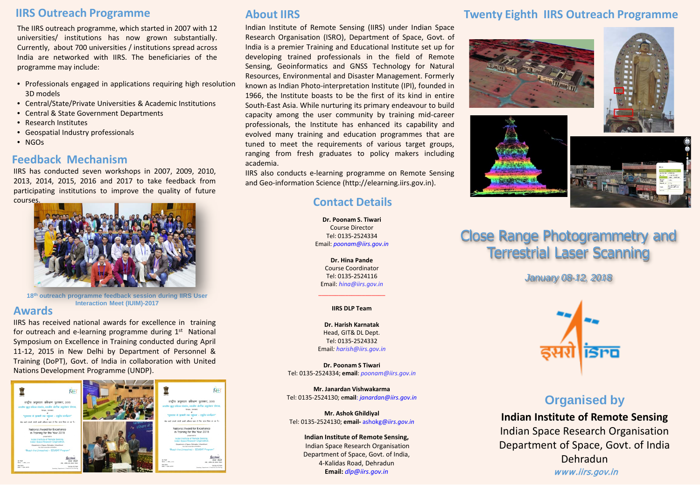### **IIRS Outreach Programme**

The IIRS outreach programme, which started in 2007 with 12 universities/ institutions has now grown substantially. Currently, about 700 universities / institutions spread across India are networked with IIRS. The beneficiaries of the programme may include:

- Professionals engaged in applications requiring high resolution 3D models
- Central/State/Private Universities & Academic Institutions
- Central & State Government Departments
- Research Institutes
- Geospatial Industry professionals
- NGOs

### **Feedback Mechanism**

IIRS has conducted seven workshops in 2007, 2009, 2010, 2013, 2014, 2015, 2016 and 2017 to take feedback from participating institutions to improve the quality of future courses.



**18th outreach programme feedback session during IIRS User Interaction Meet (IUIM)-2017**

### **Awards**

IIRS has received national awards for excellence in training for outreach and e-learning programme during  $1<sup>st</sup>$  National Symposium on Excellence in Training conducted during April 11-12, 2015 in New Delhi by Department of Personnel & Training (DoPT), Govt. of India in collaboration with United Nations Development Programme (UNDP).



## **About IIRS**

Indian Institute of Remote Sensing (IIRS) under Indian Space Research Organisation (ISRO), Department of Space, Govt. of India is a premier Training and Educational Institute set up for developing trained professionals in the field of Remote Sensing, Geoinformatics and GNSS Technology for Natural Resources, Environmental and Disaster Management. Formerly known as Indian Photo-interpretation Institute (IPI), founded in 1966, the Institute boasts to be the first of its kind in entire South-East Asia. While nurturing its primary endeavour to build capacity among the user community by training mid-career professionals, the Institute has enhanced its capability and evolved many training and education programmes that are tuned to meet the requirements of various target groups, ranging from fresh graduates to policy makers including academia.

IIRS also conducts e-learning programme on Remote Sensing and Geo-information Science (http://elearning.iirs.gov.in).

# **Contact Details**

**Dr. Poonam S. Tiwari** Course Director Tel: 0135-2524334 Email: *poonam@iirs.gov.in*

**Dr. Hina Pande** Course Coordinator Tel: 0135-2524116 Email: *hina@iirs.gov.in*

### \_\_\_\_\_\_\_\_\_\_\_\_\_\_\_\_\_\_\_\_ **IIRS DLP Team**

**Dr. Harish Karnatak** Head, GIT& DL Dept. Tel: 0135-2524332 Email*: harish@iirs.gov.in*

**Dr. Poonam S Tiwari** Tel: 0135-2524334; **email**: *poonam@iirs.gov.in*

**Mr. Janardan Vishwakarma** Tel: 0135-2524130; e**mail**: *janardan@iirs.gov.in*

**Mr. Ashok Ghildiyal** Tel: 0135-2524130; **email-** ashokg@*iirs.gov.in*

#### **Indian Institute of Remote Sensing,**

Indian Space Research Organisation Department of Space, Govt. of India, 4-Kalidas Road, Dehradun **Email:** *dlp@iirs.gov.in*

# **Twenty Eighth IIRS Outreach Programme**









# Close Range Photogrammetry and Terrestrial Laser Scanning

*January 08-12, 2018*



# **Organised by**

**Indian Institute of Remote Sensing** Indian Space Research Organisation Department of Space, Govt. of India Dehradun www.iirs.gov.in